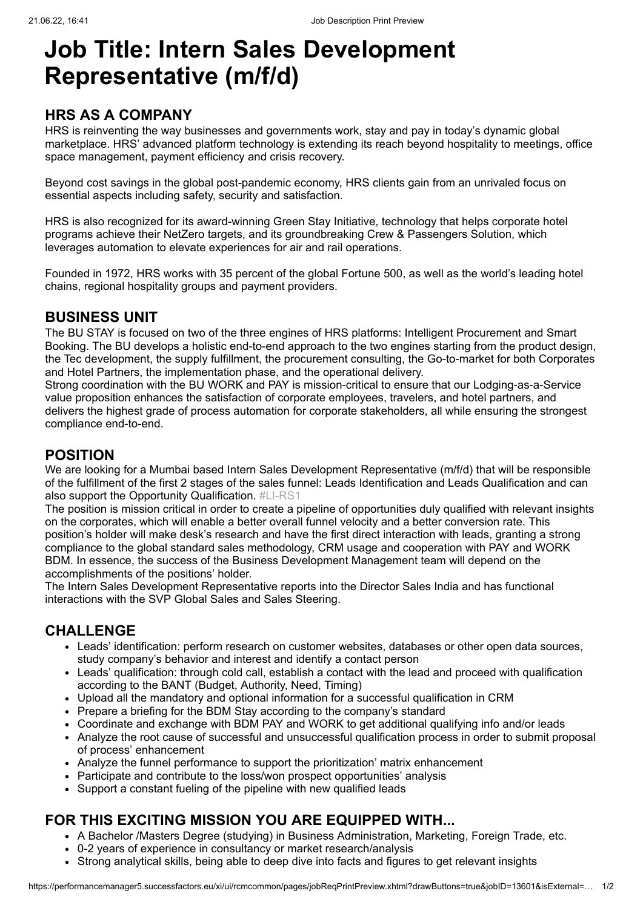# **Job Title: Intern Sales Development Representative (m/f/d)**

### **HRS AS A COMPANY**

HRS is reinventing the way businesses and governments work, stay and pay in today's dynamic global marketplace. HRS' advanced platform technology is extending its reach beyond hospitality to meetings, office space management, payment efficiency and crisis recovery.

Beyond cost savings in the global post-pandemic economy, HRS clients gain from an unrivaled focus on essential aspects including safety, security and satisfaction.

HRS is also recognized for its [award-winning Green Stay Initiative,](javascript:void(0);) technology that helps corporate hotel programs achieve their NetZero targets, and its groundbreaking Crew & Passengers Solution, which leverages automation to elevate experiences for air and rail operations.

Founded in 1972, HRS works with 35 percent of the global Fortune 500, as well as the world's leading hotel chains, regional hospitality groups and payment providers.

#### **BUSINESS UNIT**

The BU STAY is focused on two of the three engines of HRS platforms: Intelligent Procurement and Smart Booking. The BU develops a holistic end-to-end approach to the two engines starting from the product design, the Tec development, the supply fulfillment, the procurement consulting, the Go-to-market for both Corporates and Hotel Partners, the implementation phase, and the operational delivery.

Strong coordination with the BU WORK and PAY is mission-critical to ensure that our Lodging-as-a-Service value proposition enhances the satisfaction of corporate employees, travelers, and hotel partners, and delivers the highest grade of process automation for corporate stakeholders, all while ensuring the strongest compliance end-to-end.

#### **POSITION**

We are looking for a Mumbai based Intern Sales Development Representative (m/f/d) that will be responsible of the fulfillment of the first 2 stages of the sales funnel: Leads Identification and Leads Qualification and can also support the Opportunity Qualification. #LI-RS1

The position is mission critical in order to create a pipeline of opportunities duly qualified with relevant insights on the corporates, which will enable a better overall funnel velocity and a better conversion rate. This position's holder will make desk's research and have the first direct interaction with leads, granting a strong compliance to the global standard sales methodology, CRM usage and cooperation with PAY and WORK BDM. In essence, the success of the Business Development Management team will depend on the accomplishments of the positions' holder.

The Intern Sales Development Representative reports into the Director Sales India and has functional interactions with the SVP Global Sales and Sales Steering.

#### **CHALLENGE**

- Leads' identification: perform research on customer websites, databases or other open data sources, study company's behavior and interest and identify a contact person
- Leads' qualification: through cold call, establish a contact with the lead and proceed with qualification according to the BANT (Budget, Authority, Need, Timing)
- Upload all the mandatory and optional information for a successful qualification in CRM
- Prepare a briefing for the BDM Stay according to the company's standard
- Coordinate and exchange with BDM PAY and WORK to get additional qualifying info and/or leads
- Analyze the root cause of successful and unsuccessful qualification process in order to submit proposal of process' enhancement
- Analyze the funnel performance to support the prioritization' matrix enhancement
- Participate and contribute to the loss/won prospect opportunities' analysis
- Support a constant fueling of the pipeline with new qualified leads

## **FOR THIS EXCITING MISSION YOU ARE EQUIPPED WITH...**

- A Bachelor /Masters Degree (studying) in Business Administration, Marketing, Foreign Trade, etc.
- 0-2 years of experience in consultancy or market research/analysis
- Strong analytical skills, being able to deep dive into facts and figures to get relevant insights